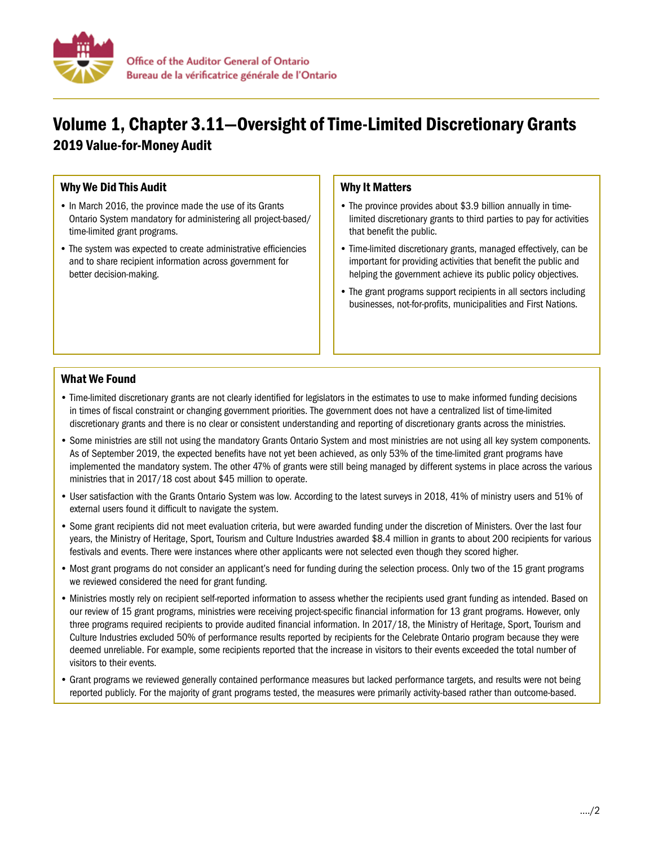

# Volume 1, Chapter 3.11—Oversight of Time-Limited Discretionary Grants 2019 Value-for-Money Audit

## Why We Did This Audit

- In March 2016, the province made the use of its Grants Ontario System mandatory for administering all project-based/ time-limited grant programs.
- The system was expected to create administrative efficiencies and to share recipient information across government for better decision-making.

### Why It Matters

- The province provides about \$3.9 billion annually in timelimited discretionary grants to third parties to pay for activities that benefit the public.
- Time-limited discretionary grants, managed effectively, can be important for providing activities that benefit the public and helping the government achieve its public policy objectives.
- The grant programs support recipients in all sectors including businesses, not-for-profits, municipalities and First Nations.

### What We Found

- Time-limited discretionary grants are not clearly identified for legislators in the estimates to use to make informed funding decisions in times of fiscal constraint or changing government priorities. The government does not have a centralized list of time-limited discretionary grants and there is no clear or consistent understanding and reporting of discretionary grants across the ministries.
- Some ministries are still not using the mandatory Grants Ontario System and most ministries are not using all key system components. As of September 2019, the expected benefits have not yet been achieved, as only 53% of the time-limited grant programs have implemented the mandatory system. The other 47% of grants were still being managed by different systems in place across the various ministries that in 2017/18 cost about \$45 million to operate.
- User satisfaction with the Grants Ontario System was low. According to the latest surveys in 2018, 41% of ministry users and 51% of external users found it difficult to navigate the system.
- Some grant recipients did not meet evaluation criteria, but were awarded funding under the discretion of Ministers. Over the last four years, the Ministry of Heritage, Sport, Tourism and Culture Industries awarded \$8.4 million in grants to about 200 recipients for various festivals and events. There were instances where other applicants were not selected even though they scored higher.
- Most grant programs do not consider an applicant's need for funding during the selection process. Only two of the 15 grant programs we reviewed considered the need for grant funding.
- Ministries mostly rely on recipient self-reported information to assess whether the recipients used grant funding as intended. Based on our review of 15 grant programs, ministries were receiving project-specific financial information for 13 grant programs. However, only three programs required recipients to provide audited financial information. In 2017/18, the Ministry of Heritage, Sport, Tourism and Culture Industries excluded 50% of performance results reported by recipients for the Celebrate Ontario program because they were deemed unreliable. For example, some recipients reported that the increase in visitors to their events exceeded the total number of visitors to their events.
- Grant programs we reviewed generally contained performance measures but lacked performance targets, and results were not being reported publicly. For the majority of grant programs tested, the measures were primarily activity-based rather than outcome-based.